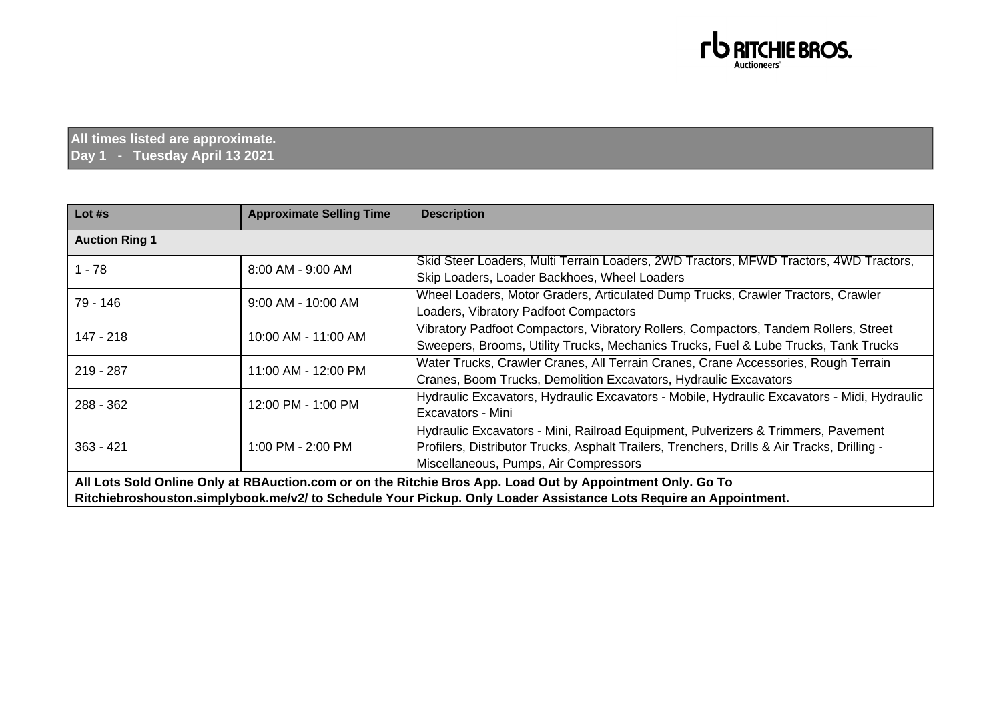

**All times listed are approximate. Day 1 - Tuesday April 13 2021**

| Lot #s                                                                                                                                                                                                                          | <b>Approximate Selling Time</b> | <b>Description</b>                                                                                                                                                                                                        |
|---------------------------------------------------------------------------------------------------------------------------------------------------------------------------------------------------------------------------------|---------------------------------|---------------------------------------------------------------------------------------------------------------------------------------------------------------------------------------------------------------------------|
| <b>Auction Ring 1</b>                                                                                                                                                                                                           |                                 |                                                                                                                                                                                                                           |
| $1 - 78$                                                                                                                                                                                                                        | 8:00 AM - 9:00 AM               | Skid Steer Loaders, Multi Terrain Loaders, 2WD Tractors, MFWD Tractors, 4WD Tractors,<br>Skip Loaders, Loader Backhoes, Wheel Loaders                                                                                     |
| 79 - 146                                                                                                                                                                                                                        | 9:00 AM - 10:00 AM              | Wheel Loaders, Motor Graders, Articulated Dump Trucks, Crawler Tractors, Crawler<br>Loaders, Vibratory Padfoot Compactors                                                                                                 |
| 147 - 218                                                                                                                                                                                                                       | 10:00 AM - 11:00 AM             | Vibratory Padfoot Compactors, Vibratory Rollers, Compactors, Tandem Rollers, Street<br>Sweepers, Brooms, Utility Trucks, Mechanics Trucks, Fuel & Lube Trucks, Tank Trucks                                                |
| 219 - 287                                                                                                                                                                                                                       | 11:00 AM - 12:00 PM             | Water Trucks, Crawler Cranes, All Terrain Cranes, Crane Accessories, Rough Terrain<br>Cranes, Boom Trucks, Demolition Excavators, Hydraulic Excavators                                                                    |
| $288 - 362$                                                                                                                                                                                                                     | 12:00 PM - 1:00 PM              | Hydraulic Excavators, Hydraulic Excavators - Mobile, Hydraulic Excavators - Midi, Hydraulic<br>Excavators - Mini                                                                                                          |
| $363 - 421$                                                                                                                                                                                                                     | 1:00 PM - 2:00 PM               | Hydraulic Excavators - Mini, Railroad Equipment, Pulverizers & Trimmers, Pavement<br>Profilers, Distributor Trucks, Asphalt Trailers, Trenchers, Drills & Air Tracks, Drilling -<br>Miscellaneous, Pumps, Air Compressors |
| All Lots Sold Online Only at RBAuction.com or on the Ritchie Bros App. Load Out by Appointment Only. Go To<br>Ritchiebroshouston.simplybook.me/v2/ to Schedule Your Pickup. Only Loader Assistance Lots Require an Appointment. |                                 |                                                                                                                                                                                                                           |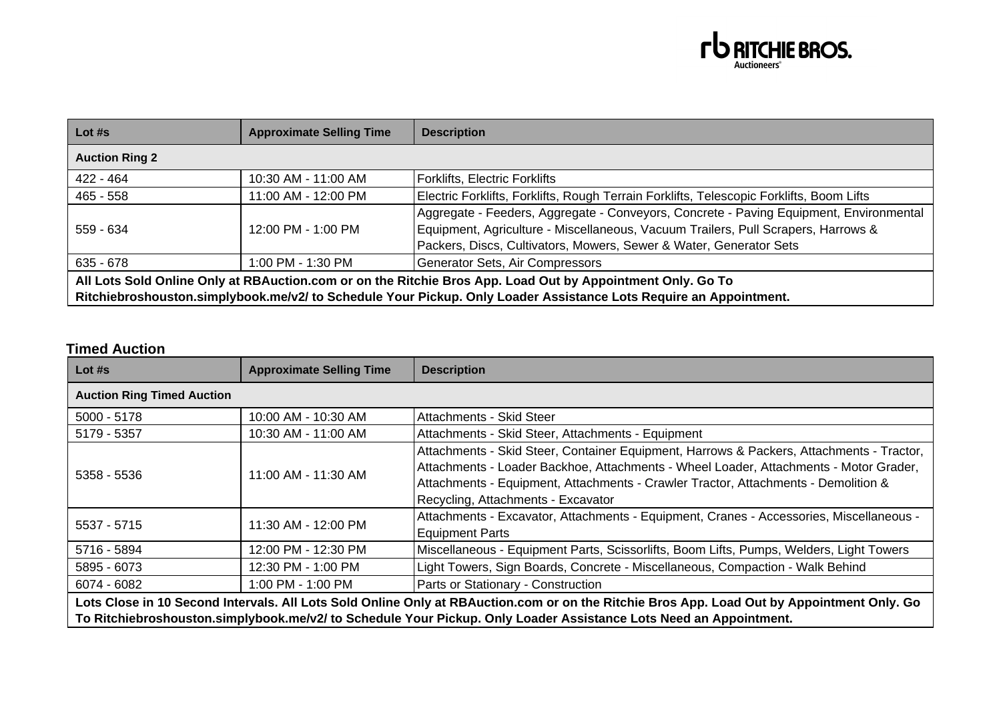

| Lot $#s$                                                                                                                                                                                                                        | <b>Approximate Selling Time</b> | <b>Description</b>                                                                                                                                                                                                                                |
|---------------------------------------------------------------------------------------------------------------------------------------------------------------------------------------------------------------------------------|---------------------------------|---------------------------------------------------------------------------------------------------------------------------------------------------------------------------------------------------------------------------------------------------|
| <b>Auction Ring 2</b>                                                                                                                                                                                                           |                                 |                                                                                                                                                                                                                                                   |
| 422 - 464                                                                                                                                                                                                                       | 10:30 AM - 11:00 AM             | <b>Forklifts, Electric Forklifts</b>                                                                                                                                                                                                              |
| $465 - 558$                                                                                                                                                                                                                     | 11:00 AM - 12:00 PM             | Electric Forklifts, Forklifts, Rough Terrain Forklifts, Telescopic Forklifts, Boom Lifts                                                                                                                                                          |
| $559 - 634$                                                                                                                                                                                                                     | 12:00 PM - 1:00 PM              | Aggregate - Feeders, Aggregate - Conveyors, Concrete - Paving Equipment, Environmental<br>Equipment, Agriculture - Miscellaneous, Vacuum Trailers, Pull Scrapers, Harrows &<br>Packers, Discs, Cultivators, Mowers, Sewer & Water, Generator Sets |
| $635 - 678$                                                                                                                                                                                                                     | 1:00 PM - 1:30 PM               | Generator Sets, Air Compressors                                                                                                                                                                                                                   |
| All Lots Sold Online Only at RBAuction.com or on the Ritchie Bros App. Load Out by Appointment Only. Go To<br>Ritchiebroshouston.simplybook.me/v2/ to Schedule Your Pickup. Only Loader Assistance Lots Require an Appointment. |                                 |                                                                                                                                                                                                                                                   |

## **Timed Auction**

| Lot $#s$                                                                                                                                                                                                                                                        | <b>Approximate Selling Time</b> | <b>Description</b>                                                                                                                                                                                                                                                                                            |
|-----------------------------------------------------------------------------------------------------------------------------------------------------------------------------------------------------------------------------------------------------------------|---------------------------------|---------------------------------------------------------------------------------------------------------------------------------------------------------------------------------------------------------------------------------------------------------------------------------------------------------------|
| <b>Auction Ring Timed Auction</b>                                                                                                                                                                                                                               |                                 |                                                                                                                                                                                                                                                                                                               |
| $5000 - 5178$                                                                                                                                                                                                                                                   | 10:00 AM - 10:30 AM             | Attachments - Skid Steer                                                                                                                                                                                                                                                                                      |
| 5179 - 5357                                                                                                                                                                                                                                                     | 10:30 AM - 11:00 AM             | Attachments - Skid Steer, Attachments - Equipment                                                                                                                                                                                                                                                             |
| 5358 - 5536                                                                                                                                                                                                                                                     | 11:00 AM - 11:30 AM             | Attachments - Skid Steer, Container Equipment, Harrows & Packers, Attachments - Tractor,<br>Attachments - Loader Backhoe, Attachments - Wheel Loader, Attachments - Motor Grader,<br>Attachments - Equipment, Attachments - Crawler Tractor, Attachments - Demolition &<br>Recycling, Attachments - Excavator |
| 5537 - 5715                                                                                                                                                                                                                                                     | 11:30 AM - 12:00 PM             | Attachments - Excavator, Attachments - Equipment, Cranes - Accessories, Miscellaneous -<br><b>Equipment Parts</b>                                                                                                                                                                                             |
| 5716 - 5894                                                                                                                                                                                                                                                     | 12:00 PM - 12:30 PM             | Miscellaneous - Equipment Parts, Scissorlifts, Boom Lifts, Pumps, Welders, Light Towers                                                                                                                                                                                                                       |
| 5895 - 6073                                                                                                                                                                                                                                                     | 12:30 PM - 1:00 PM              | Light Towers, Sign Boards, Concrete - Miscellaneous, Compaction - Walk Behind                                                                                                                                                                                                                                 |
| 6074 - 6082                                                                                                                                                                                                                                                     | 1:00 PM - 1:00 PM               | Parts or Stationary - Construction                                                                                                                                                                                                                                                                            |
| Lots Close in 10 Second Intervals. All Lots Sold Online Only at RBAuction.com or on the Ritchie Bros App. Load Out by Appointment Only. Go<br>To Ritchiebroshouston.simplybook.me/v2/ to Schedule Your Pickup. Only Loader Assistance Lots Need an Appointment. |                                 |                                                                                                                                                                                                                                                                                                               |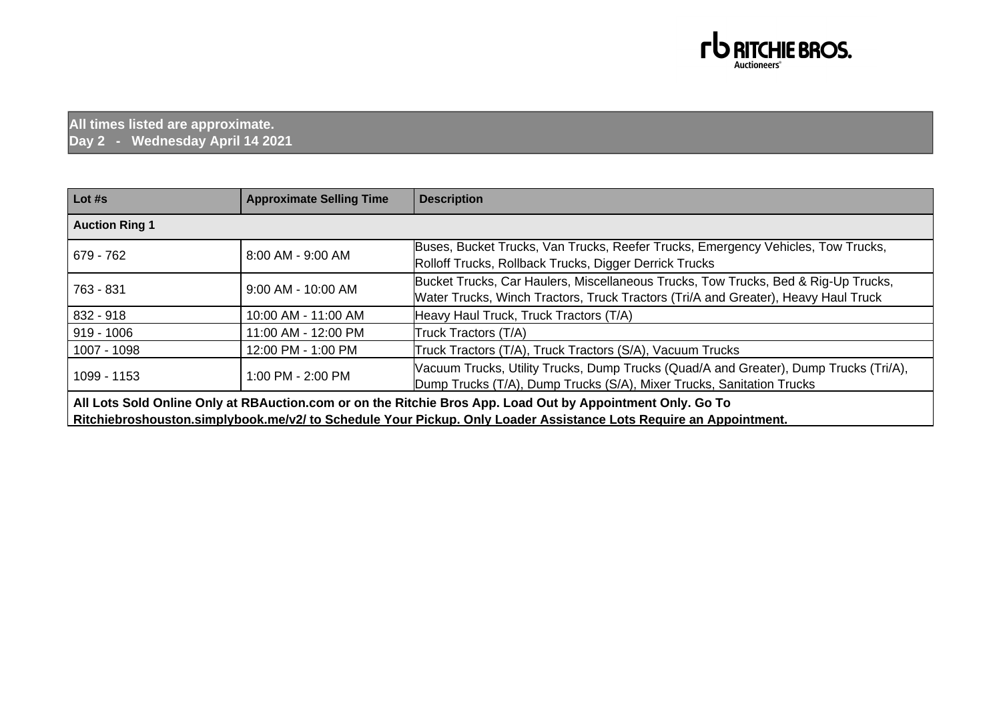

## **All times listed are approximate. Day 2 - Wednesday April 14 2021**

| Lot #s                                                                                                                                                                                                                          | <b>Approximate Selling Time</b> | <b>Description</b>                                                                                                                                                       |
|---------------------------------------------------------------------------------------------------------------------------------------------------------------------------------------------------------------------------------|---------------------------------|--------------------------------------------------------------------------------------------------------------------------------------------------------------------------|
| <b>Auction Ring 1</b>                                                                                                                                                                                                           |                                 |                                                                                                                                                                          |
| 679 - 762                                                                                                                                                                                                                       | 8:00 AM - 9:00 AM               | Buses, Bucket Trucks, Van Trucks, Reefer Trucks, Emergency Vehicles, Tow Trucks,<br>Rolloff Trucks, Rollback Trucks, Digger Derrick Trucks                               |
| 763 - 831                                                                                                                                                                                                                       | 9:00 AM - 10:00 AM              | Bucket Trucks, Car Haulers, Miscellaneous Trucks, Tow Trucks, Bed & Rig-Up Trucks,<br>Water Trucks, Winch Tractors, Truck Tractors (Tri/A and Greater), Heavy Haul Truck |
| $832 - 918$                                                                                                                                                                                                                     | 10:00 AM - 11:00 AM             | Heavy Haul Truck, Truck Tractors (T/A)                                                                                                                                   |
| $919 - 1006$                                                                                                                                                                                                                    | 11:00 AM - 12:00 PM             | Truck Tractors (T/A)                                                                                                                                                     |
| 1007 - 1098                                                                                                                                                                                                                     | 12:00 PM - 1:00 PM              | Truck Tractors (T/A), Truck Tractors (S/A), Vacuum Trucks                                                                                                                |
| 1099 - 1153                                                                                                                                                                                                                     | 1:00 PM - 2:00 PM               | Vacuum Trucks, Utility Trucks, Dump Trucks (Quad/A and Greater), Dump Trucks (Tri/A),<br>Dump Trucks (T/A), Dump Trucks (S/A), Mixer Trucks, Sanitation Trucks           |
| All Lots Sold Online Only at RBAuction.com or on the Ritchie Bros App. Load Out by Appointment Only. Go To<br>Ritchiebroshouston.simplybook.me/v2/ to Schedule Your Pickup. Only Loader Assistance Lots Require an Appointment. |                                 |                                                                                                                                                                          |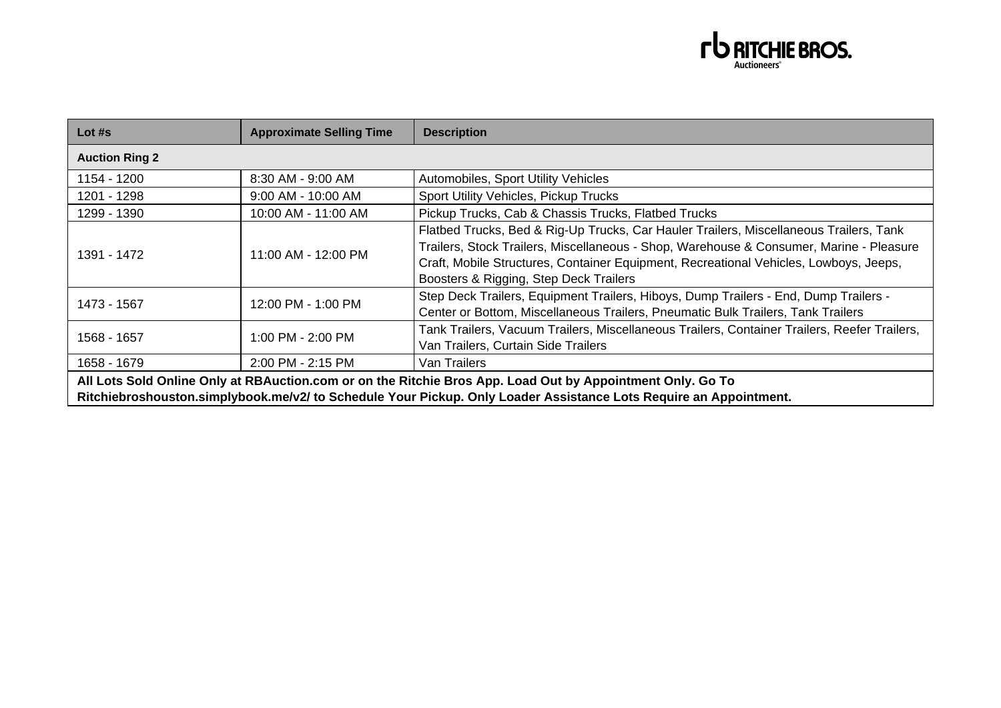

| Lot $#s$                                                                                                                                                                                                                        | <b>Approximate Selling Time</b> | <b>Description</b>                                                                                                                                                                                                                                                                                                   |
|---------------------------------------------------------------------------------------------------------------------------------------------------------------------------------------------------------------------------------|---------------------------------|----------------------------------------------------------------------------------------------------------------------------------------------------------------------------------------------------------------------------------------------------------------------------------------------------------------------|
| <b>Auction Ring 2</b>                                                                                                                                                                                                           |                                 |                                                                                                                                                                                                                                                                                                                      |
| 1154 - 1200                                                                                                                                                                                                                     | 8:30 AM - 9:00 AM               | Automobiles, Sport Utility Vehicles                                                                                                                                                                                                                                                                                  |
| 1201 - 1298                                                                                                                                                                                                                     | 9:00 AM - 10:00 AM              | Sport Utility Vehicles, Pickup Trucks                                                                                                                                                                                                                                                                                |
| 1299 - 1390                                                                                                                                                                                                                     | 10:00 AM - 11:00 AM             | Pickup Trucks, Cab & Chassis Trucks, Flatbed Trucks                                                                                                                                                                                                                                                                  |
| 1391 - 1472                                                                                                                                                                                                                     | 11:00 AM - 12:00 PM             | Flatbed Trucks, Bed & Rig-Up Trucks, Car Hauler Trailers, Miscellaneous Trailers, Tank<br>Trailers, Stock Trailers, Miscellaneous - Shop, Warehouse & Consumer, Marine - Pleasure<br>Craft, Mobile Structures, Container Equipment, Recreational Vehicles, Lowboys, Jeeps,<br>Boosters & Rigging, Step Deck Trailers |
| 1473 - 1567                                                                                                                                                                                                                     | 12:00 PM - 1:00 PM              | Step Deck Trailers, Equipment Trailers, Hiboys, Dump Trailers - End, Dump Trailers -<br>Center or Bottom, Miscellaneous Trailers, Pneumatic Bulk Trailers, Tank Trailers                                                                                                                                             |
| 1568 - 1657                                                                                                                                                                                                                     | 1:00 PM - 2:00 PM               | Tank Trailers, Vacuum Trailers, Miscellaneous Trailers, Container Trailers, Reefer Trailers,<br>Van Trailers, Curtain Side Trailers                                                                                                                                                                                  |
| 1658 - 1679                                                                                                                                                                                                                     | 2:00 PM - 2:15 PM               | Van Trailers                                                                                                                                                                                                                                                                                                         |
| All Lots Sold Online Only at RBAuction.com or on the Ritchie Bros App. Load Out by Appointment Only. Go To<br>Ritchiebroshouston.simplybook.me/v2/ to Schedule Your Pickup. Only Loader Assistance Lots Require an Appointment. |                                 |                                                                                                                                                                                                                                                                                                                      |